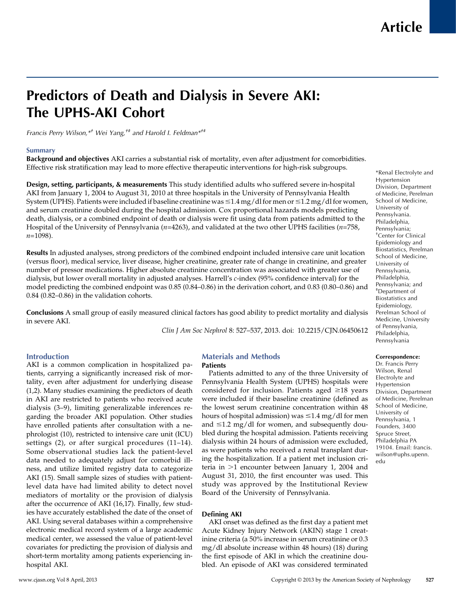# Predictors of Death and Dialysis in Severe AKI: The UPHS-AKI Cohort

Francis Perry Wilson,  $*^t$  Wei Yang,  $*^t$  and Harold I. Feldman $*^{t}$ 

# Summary

Background and objectives AKI carries a substantial risk of mortality, even after adjustment for comorbidities. Effective risk stratification may lead to more effective therapeutic interventions for high-risk subgroups.

Design, setting, participants, & measurements This study identified adults who suffered severe in-hospital AKI from January 1, 2004 to August 31, 2010 at three hospitals in the University of Pennsylvania Health System (UPHS). Patients were included if baseline creatinine was  $\leq 1.4$  mg/dl for men or  $\leq 1.2$  mg/dl for women, and serum creatinine doubled during the hospital admission. Cox proportional hazards models predicting death, dialysis, or a combined endpoint of death or dialysis were fit using data from patients admitted to the Hospital of the University of Pennsylvania ( $n=4263$ ), and validated at the two other UPHS facilities ( $n=758$ ,  $n=1098$ ).

Results In adjusted analyses, strong predictors of the combined endpoint included intensive care unit location (versus floor), medical service, liver disease, higher creatinine, greater rate of change in creatinine, and greater number of pressor medications. Higher absolute creatinine concentration was associated with greater use of dialysis, but lower overall mortality in adjusted analyses. Harrell's c-index (95% confidence interval) for the model predicting the combined endpoint was 0.85 (0.84–0.86) in the derivation cohort, and 0.83 (0.80–0.86) and 0.84 (0.82–0.86) in the validation cohorts.

Conclusions A small group of easily measured clinical factors has good ability to predict mortality and dialysis in severe AKI.

Clin J Am Soc Nephrol 8: 527–537, 2013. doi: 10.2215/CJN.06450612

# Introduction

AKI is a common complication in hospitalized patients, carrying a significantly increased risk of mortality, even after adjustment for underlying disease (1,2). Many studies examining the predictors of death in AKI are restricted to patients who received acute dialysis (3–9), limiting generalizable inferences regarding the broader AKI population. Other studies have enrolled patients after consultation with a nephrologist (10), restricted to intensive care unit (ICU) settings (2), or after surgical procedures (11–14). Some observational studies lack the patient-level data needed to adequately adjust for comorbid illness, and utilize limited registry data to categorize AKI (15). Small sample sizes of studies with patientlevel data have had limited ability to detect novel mediators of mortality or the provision of dialysis after the occurrence of AKI (16,17). Finally, few studies have accurately established the date of the onset of AKI. Using several databases within a comprehensive electronic medical record system of a large academic medical center, we assessed the value of patient-level covariates for predicting the provision of dialysis and short-term mortality among patients experiencing inhospital AKI.

# Materials and Methods **Patients**

Patients admitted to any of the three University of Pennsylvania Health System (UPHS) hospitals were considered for inclusion. Patients aged  $\geq 18$  years were included if their baseline creatinine (defined as the lowest serum creatinine concentration within 48 hours of hospital admission) was  $\leq$ 1.4 mg/dl for men and  $\leq$ 1.2 mg/dl for women, and subsequently doubled during the hospital admission. Patients receiving dialysis within 24 hours of admission were excluded, as were patients who received a renal transplant during the hospitalization. If a patient met inclusion criteria in  $>1$  encounter between January 1, 2004 and August 31, 2010, the first encounter was used. This study was approved by the Institutional Review Board of the University of Pennsylvania.

#### Defining AKI

AKI onset was defined as the first day a patient met Acute Kidney Injury Network (AKIN) stage 1 creatinine criteria (a 50% increase in serum creatinine or 0.3 mg/dl absolute increase within 48 hours) (18) during the first episode of AKI in which the creatinine doubled. An episode of AKI was considered terminated

\*Renal Electrolyte and Hypertension Division, Department of Medicine, Perelman School of Medicine, University of Pennsylvania. Philadelphia, Pennsylvania; † Center for Clinical Epidemiology and Biostatistics, Perelman School of Medicine, University of Pennsylvania, Philadelphia, Pennsylvania; and ‡ Department of Biostatistics and Epidemiology, Perelman School of Medicine, University of Pennsylvania, Philadelphia, Pennsylvania

#### Correspondence:

Dr. Francis Perry Wilson, Renal Electrolyte and Hypertension Division, Department of Medicine, Perelman School of Medicine, University of Pennsylvania, 1 Founders, 3400 Spruce Street, Philadelphia PA 19104. Email: [francis.](mailto:francis.wilson@uphs.upenn.edu) [wilson@uphs.upenn.](mailto:francis.wilson@uphs.upenn.edu) [edu](mailto:francis.wilson@uphs.upenn.edu)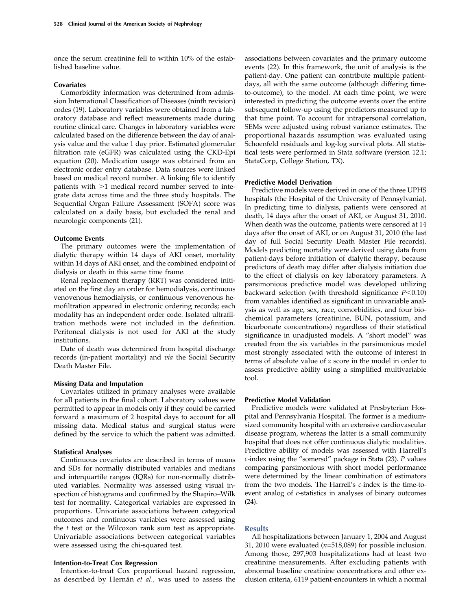once the serum creatinine fell to within 10% of the established baseline value.

#### **Covariates**

Comorbidity information was determined from admission International Classification of Diseases (ninth revision) codes (19). Laboratory variables were obtained from a laboratory database and reflect measurements made during routine clinical care. Changes in laboratory variables were calculated based on the difference between the day of analysis value and the value 1 day prior. Estimated glomerular filtration rate (eGFR) was calculated using the CKD-Epi equation (20). Medication usage was obtained from an electronic order entry database. Data sources were linked based on medical record number. A linking file to identify patients with  $>1$  medical record number served to integrate data across time and the three study hospitals. The Sequential Organ Failure Assessment (SOFA) score was calculated on a daily basis, but excluded the renal and neurologic components (21).

# Outcome Events

The primary outcomes were the implementation of dialytic therapy within 14 days of AKI onset, mortality within 14 days of AKI onset, and the combined endpoint of dialysis or death in this same time frame.

Renal replacement therapy (RRT) was considered initiated on the first day an order for hemodialysis, continuous venovenous hemodialysis, or continuous venovenous hemofiltration appeared in electronic ordering records; each modality has an independent order code. Isolated ultrafiltration methods were not included in the definition. Peritoneal dialysis is not used for AKI at the study institutions.

Date of death was determined from hospital discharge records (in-patient mortality) and via the Social Security Death Master File.

#### Missing Data and Imputation

Covariates utilized in primary analyses were available for all patients in the final cohort. Laboratory values were permitted to appear in models only if they could be carried forward a maximum of 2 hospital days to account for all missing data. Medical status and surgical status were defined by the service to which the patient was admitted.

### Statistical Analyses

Continuous covariates are described in terms of means and SDs for normally distributed variables and medians and interquartile ranges (IQRs) for non-normally distributed variables. Normality was assessed using visual inspection of histograms and confirmed by the Shapiro–Wilk test for normality. Categorical variables are expressed in proportions. Univariate associations between categorical outcomes and continuous variables were assessed using the  $t$  test or the Wilcoxon rank sum test as appropriate. Univariable associations between categorical variables were assessed using the chi-squared test.

# Intention-to-Treat Cox Regression

Intention-to-treat Cox proportional hazard regression, as described by Hernán et al., was used to assess the associations between covariates and the primary outcome events (22). In this framework, the unit of analysis is the patient-day. One patient can contribute multiple patientdays, all with the same outcome (although differing timeto-outcome), to the model. At each time point, we were interested in predicting the outcome events over the entire subsequent follow-up using the predictors measured up to that time point. To account for intrapersonal correlation, SEMs were adjusted using robust variance estimates. The proportional hazards assumption was evaluated using Schoenfeld residuals and log-log survival plots. All statistical tests were performed in Stata software (version 12.1; StataCorp, College Station, TX).

# Predictive Model Derivation

Predictive models were derived in one of the three UPHS hospitals (the Hospital of the University of Pennsylvania). In predicting time to dialysis, patients were censored at death, 14 days after the onset of AKI, or August 31, 2010. When death was the outcome, patients were censored at 14 days after the onset of AKI, or on August 31, 2010 (the last day of full Social Security Death Master File records). Models predicting mortality were derived using data from patient-days before initiation of dialytic therapy, because predictors of death may differ after dialysis initiation due to the effect of dialysis on key laboratory parameters. A parsimonious predictive model was developed utilizing backward selection (with threshold significance  $P<0.10$ ) from variables identified as significant in univariable analysis as well as age, sex, race, comorbidities, and four biochemical parameters (creatinine, BUN, potassium, and bicarbonate concentrations) regardless of their statistical significance in unadjusted models. A "short model" was created from the six variables in the parsimonious model most strongly associated with the outcome of interest in terms of absolute value of z score in the model in order to assess predictive ability using a simplified multivariable tool.

#### Predictive Model Validation

Predictive models were validated at Presbyterian Hospital and Pennsylvania Hospital. The former is a mediumsized community hospital with an extensive cardiovascular disease program, whereas the latter is a small community hospital that does not offer continuous dialytic modalities. Predictive ability of models was assessed with Harrell's c-index using the "somersd" package in Stata (23). P values comparing parsimonious with short model performance were determined by the linear combination of estimators from the two models. The Harrell's c-index is the time-toevent analog of c-statistics in analyses of binary outcomes (24).

# Results

All hospitalizations between January 1, 2004 and August 31, 2010 were evaluated ( $n=518,089$ ) for possible inclusion. Among those, 297,903 hospitalizations had at least two creatinine measurements. After excluding patients with abnormal baseline creatinine concentrations and other exclusion criteria, 6119 patient-encounters in which a normal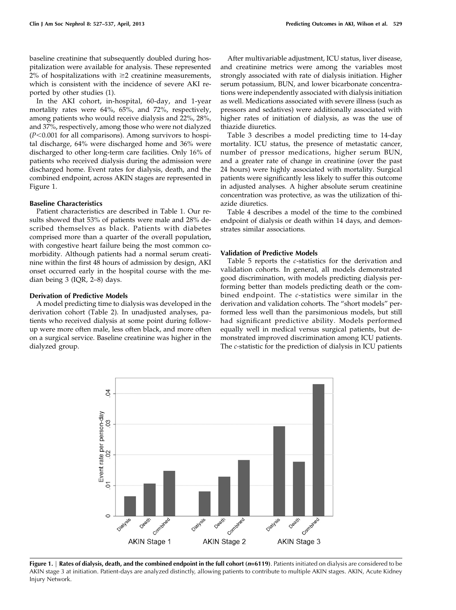baseline creatinine that subsequently doubled during hospitalization were available for analysis. These represented  $2\%$  of hospitalizations with  $\geq 2$  creatinine measurements, which is consistent with the incidence of severe AKI reported by other studies (1).

In the AKI cohort, in-hospital, 60-day, and 1-year mortality rates were 64%, 65%, and 72%, respectively, among patients who would receive dialysis and 22%, 28%, and 37%, respectively, among those who were not dialyzed  $(P<0.001$  for all comparisons). Among survivors to hospital discharge, 64% were discharged home and 36% were discharged to other long-term care facilities. Only 16% of patients who received dialysis during the admission were discharged home. Event rates for dialysis, death, and the combined endpoint, across AKIN stages are represented in Figure 1.

# Baseline Characteristics

Patient characteristics are described in Table 1. Our results showed that 53% of patients were male and 28% described themselves as black. Patients with diabetes comprised more than a quarter of the overall population, with congestive heart failure being the most common comorbidity. Although patients had a normal serum creatinine within the first 48 hours of admission by design, AKI onset occurred early in the hospital course with the median being 3 (IQR, 2–8) days.

# Derivation of Predictive Models

A model predicting time to dialysis was developed in the derivation cohort (Table 2). In unadjusted analyses, patients who received dialysis at some point during followup were more often male, less often black, and more often on a surgical service. Baseline creatinine was higher in the dialyzed group.

After multivariable adjustment, ICU status, liver disease, and creatinine metrics were among the variables most strongly associated with rate of dialysis initiation. Higher serum potassium, BUN, and lower bicarbonate concentrations were independently associated with dialysis initiation as well. Medications associated with severe illness (such as pressors and sedatives) were additionally associated with higher rates of initiation of dialysis, as was the use of thiazide diuretics.

Table 3 describes a model predicting time to 14-day mortality. ICU status, the presence of metastatic cancer, number of pressor medications, higher serum BUN, and a greater rate of change in creatinine (over the past 24 hours) were highly associated with mortality. Surgical patients were significantly less likely to suffer this outcome in adjusted analyses. A higher absolute serum creatinine concentration was protective, as was the utilization of thiazide diuretics.

Table 4 describes a model of the time to the combined endpoint of dialysis or death within 14 days, and demonstrates similar associations.

# Validation of Predictive Models

Table 5 reports the c-statistics for the derivation and validation cohorts. In general, all models demonstrated good discrimination, with models predicting dialysis performing better than models predicting death or the combined endpoint. The c-statistics were similar in the derivation and validation cohorts. The "short models" performed less well than the parsimonious models, but still had significant predictive ability. Models performed equally well in medical versus surgical patients, but demonstrated improved discrimination among ICU patients. The c-statistic for the prediction of dialysis in ICU patients



Figure 1. | Rates of dialysis, death, and the combined endpoint in the full cohort (n=6119). Patients initiated on dialysis are considered to be AKIN stage 3 at initiation. Patient-days are analyzed distinctly, allowing patients to contribute to multiple AKIN stages. AKIN, Acute Kidney Injury Network.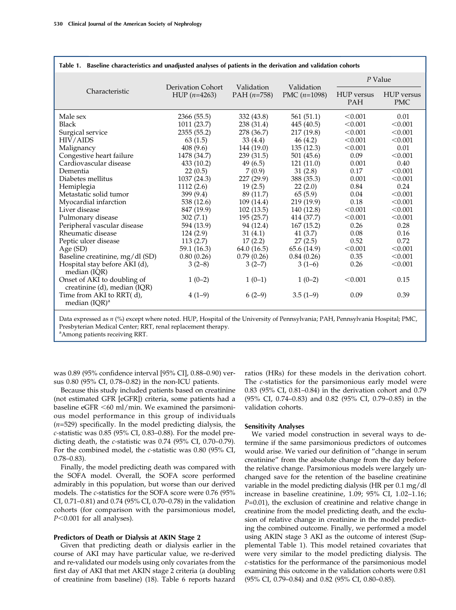| Table 1. Baseline characteristics and unadjusted analyses of patients in the derivation and validation cohorts |                   |               |                |                          |                                 |  |  |
|----------------------------------------------------------------------------------------------------------------|-------------------|---------------|----------------|--------------------------|---------------------------------|--|--|
|                                                                                                                | Derivation Cohort | Validation    | Validation     | P Value                  |                                 |  |  |
| Characteristic                                                                                                 | $HUP (n=4263)$    | PAH $(n=758)$ | PMC $(n=1098)$ | <b>HUP</b> versus<br>PAH | <b>HUP</b> versus<br><b>PMC</b> |  |  |
| Male sex                                                                                                       | 2366 (55.5)       | 332 (43.8)    | 561 (51.1)     | < 0.001                  | 0.01                            |  |  |
| Black                                                                                                          | 1011 (23.7)       | 238 (31.4)    | 445 (40.5)     | < 0.001                  | < 0.001                         |  |  |
| Surgical service                                                                                               | 2355 (55.2)       | 278 (36.7)    | 217 (19.8)     | < 0.001                  | < 0.001                         |  |  |
| HIV/AIDS                                                                                                       | 63(1.5)           | 33(4.4)       | 46 (4.2)       | < 0.001                  | < 0.001                         |  |  |
| Malignancy                                                                                                     | 408(9.6)          | 144 (19.0)    | 135(12.3)      | < 0.001                  | 0.01                            |  |  |
| Congestive heart failure                                                                                       | 1478 (34.7)       | 239(31.5)     | 501 (45.6)     | 0.09                     | < 0.001                         |  |  |
| Cardiovascular disease                                                                                         | 433 (10.2)        | 49(6.5)       | 121(11.0)      | 0.001                    | 0.40                            |  |  |
| Dementia                                                                                                       | 22(0.5)           | 7(0.9)        | 31(2.8)        | 0.17                     | < 0.001                         |  |  |
| Diabetes mellitus                                                                                              | 1037 (24.3)       | 227 (29.9)    | 388 (35.3)     | 0.001                    | < 0.001                         |  |  |
| Hemiplegia                                                                                                     | 1112(2.6)         | 19(2.5)       | 22(2.0)        | 0.84                     | 0.24                            |  |  |
| Metastatic solid tumor                                                                                         | 399 (9.4)         | 89 (11.7)     | 65(5.9)        | 0.04                     | < 0.001                         |  |  |
| Myocardial infarction                                                                                          | 538 (12.6)        | 109 (14.4)    | 219 (19.9)     | 0.18                     | < 0.001                         |  |  |
| Liver disease                                                                                                  | 847 (19.9)        | 102(13.5)     | 140 (12.8)     | < 0.001                  | < 0.001                         |  |  |
| Pulmonary disease                                                                                              | 302(7.1)          | 195 (25.7)    | 414 (37.7)     | < 0.001                  | < 0.001                         |  |  |
| Peripheral vascular disease                                                                                    | 594 (13.9)        | 94 (12.4)     | 167(15.2)      | 0.26                     | 0.28                            |  |  |
| Rheumatic disease                                                                                              | 124(2.9)          | 31(4.1)       | 41 (3.7)       | $0.08\,$                 | 0.16                            |  |  |
| Peptic ulcer disease                                                                                           | 113(2.7)          | 17(2.2)       | 27(2.5)        | 0.52                     | 0.72                            |  |  |
| Age (SD)                                                                                                       | 59.1 (16.3)       | 64.0(16.5)    | 65.6 (14.9)    | < 0.001                  | < 0.001                         |  |  |
| Baseline creatinine, mg/dl (SD)                                                                                | 0.80(0.26)        | 0.79(0.26)    | 0.84(0.26)     | 0.35                     | < 0.001                         |  |  |
| Hospital stay before AKI (d),<br>median (IQR)                                                                  | $3(2-8)$          | $3(2-7)$      | $3(1-6)$       | 0.26                     | < 0.001                         |  |  |
| Onset of AKI to doubling of<br>creatinine (d), median (IQR)                                                    | $1(0-2)$          | $1(0-1)$      | $1(0-2)$       | < 0.001                  | 0.15                            |  |  |
| Time from AKI to RRT(d),<br>median $(IQR)^a$                                                                   | $4(1-9)$          | $6(2-9)$      | $3.5(1-9)$     | 0.09                     | 0.39                            |  |  |

Data expressed as  $n$  (%) except where noted. HUP, Hospital of the University of Pennsylvania; PAH, Pennsylvania Hospital; PMC, Presbyterian Medical Center; RRT, renal replacement therapy.

<sup>a</sup>Among patients receiving RRT.

was 0.89 (95% confidence interval [95% CI], 0.88–0.90) versus 0.80 (95% CI, 0.78–0.82) in the non-ICU patients.

Because this study included patients based on creatinine (not estimated GFR [eGFR]) criteria, some patients had a baseline  $eGFR < 60$  ml/min. We examined the parsimonious model performance in this group of individuals  $(n=529)$  specifically. In the model predicting dialysis, the c-statistic was 0.85 (95% CI, 0.83–0.88). For the model predicting death, the c-statistic was 0.74 (95% CI, 0.70–0.79). For the combined model, the c-statistic was 0.80 (95% CI, 0.78–0.83).

Finally, the model predicting death was compared with the SOFA model. Overall, the SOFA score performed admirably in this population, but worse than our derived models. The c-statistics for the SOFA score were 0.76 (95% CI, 0.71–0.81) and 0.74 (95% CI, 0.70–0.78) in the validation cohorts (for comparison with the parsimonious model,  $P<0.001$  for all analyses).

# Predictors of Death or Dialysis at AKIN Stage 2

Given that predicting death or dialysis earlier in the course of AKI may have particular value, we re-derived and re-validated our models using only covariates from the first day of AKI that met AKIN stage 2 criteria (a doubling of creatinine from baseline) (18). Table 6 reports hazard ratios (HRs) for these models in the derivation cohort. The c-statistics for the parsimonious early model were 0.83 (95% CI, 0.81–0.84) in the derivation cohort and 0.79 (95% CI, 0.74–0.83) and 0.82 (95% CI, 0.79–0.85) in the validation cohorts.

# Sensitivity Analyses

We varied model construction in several ways to determine if the same parsimonious predictors of outcomes would arise. We varied our definition of "change in serum creatinine" from the absolute change from the day before the relative change. Parsimonious models were largely unchanged save for the retention of the baseline creatinine variable in the model predicting dialysis (HR per 0.1 mg/dl increase in baseline creatinine, 1.09; 95% CI, 1.02–1.16;  $P=0.01$ ), the exclusion of creatinine and relative change in creatinine from the model predicting death, and the exclusion of relative change in creatinine in the model predicting the combined outcome. Finally, we performed a model using AKIN stage 3 AKI as the outcome of interest ([Sup](http://cjasn.asnjournals.org/lookup/suppl/doi:10.2215/CJN.06450612/-/DCSupplemental)[plemental Table 1](http://cjasn.asnjournals.org/lookup/suppl/doi:10.2215/CJN.06450612/-/DCSupplemental)). This model retained covariates that were very similar to the model predicting dialysis. The c-statistics for the performance of the parsimonious model examining this outcome in the validation cohorts were 0.81 (95% CI, 0.79–0.84) and 0.82 (95% CI, 0.80–0.85).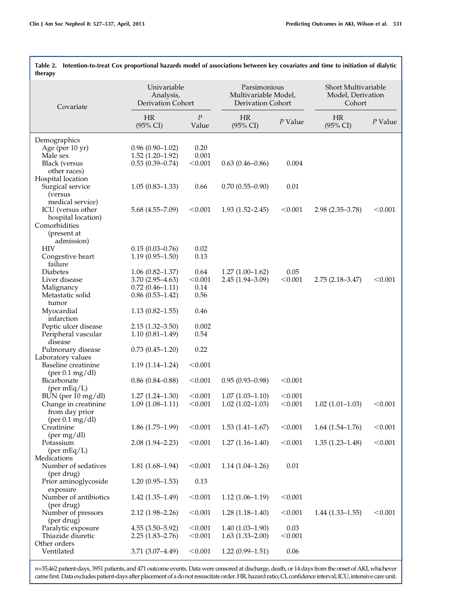| therapy                                      |                                                      |                         |                                                           |           |                                                    |         |
|----------------------------------------------|------------------------------------------------------|-------------------------|-----------------------------------------------------------|-----------|----------------------------------------------------|---------|
| Covariate                                    | Univariable<br>Analysis,<br><b>Derivation Cohort</b> |                         | Parsimonious<br>Multivariable Model,<br>Derivation Cohort |           | Short Multivariable<br>Model, Derivation<br>Cohort |         |
|                                              | <b>HR</b><br>$(95\% \text{ CI})$                     | $\overline{P}$<br>Value | <b>HR</b><br>$(95\% \text{ CI})$                          | $P$ Value | <b>HR</b><br>$(95\% \text{ CI})$                   | P Value |
| Demographics                                 |                                                      |                         |                                                           |           |                                                    |         |
| Age (per 10 yr)                              | $0.96(0.90-1.02)$                                    | 0.20                    |                                                           |           |                                                    |         |
| Male sex                                     | $1.52(1.20-1.92)$                                    | 0.001                   |                                                           |           |                                                    |         |
| <b>Black</b> (versus                         | $0.53(0.39 - 0.74)$                                  | < 0.001                 | $0.63(0.46 - 0.86)$                                       | 0.004     |                                                    |         |
| other races)<br>Hospital location            |                                                      |                         |                                                           |           |                                                    |         |
| Surgical service                             | $1.05(0.83 - 1.33)$                                  | 0.66                    | $0.70(0.55-0.90)$                                         | 0.01      |                                                    |         |
| <i>(versus)</i>                              |                                                      |                         |                                                           |           |                                                    |         |
| medical service)                             |                                                      |                         |                                                           |           |                                                    |         |
| ICU (versus other                            | 5.68 (4.55-7.09)                                     | < 0.001                 | $1.93(1.52 - 2.45)$                                       | < 0.001   | $2.98(2.35 - 3.78)$                                | < 0.001 |
| hospital location)                           |                                                      |                         |                                                           |           |                                                    |         |
| Comorbidities<br>(present at                 |                                                      |                         |                                                           |           |                                                    |         |
| admission)                                   |                                                      |                         |                                                           |           |                                                    |         |
| <b>HIV</b>                                   | $0.15(0.03 - 0.76)$                                  | 0.02                    |                                                           |           |                                                    |         |
| Congestive heart                             | $1.19(0.95 - 1.50)$                                  | 0.13                    |                                                           |           |                                                    |         |
| failure                                      |                                                      |                         |                                                           |           |                                                    |         |
| <b>Diabetes</b>                              | $1.06(0.82 - 1.37)$                                  | 0.64                    | $1.27(1.00-1.62)$                                         | 0.05      |                                                    |         |
| Liver disease<br>Malignancy                  | $3.70(2.95-4.63)$<br>$0.72(0.46 - 1.11)$             | < 0.001<br>0.14         | $2.45(1.94 - 3.09)$                                       | < 0.001   | $2.75(2.18-3.47)$                                  | < 0.001 |
| Metastatic solid                             | $0.86(0.53-1.42)$                                    | 0.56                    |                                                           |           |                                                    |         |
| tumor                                        |                                                      |                         |                                                           |           |                                                    |         |
| Myocardial                                   | $1.13(0.82 - 1.55)$                                  | 0.46                    |                                                           |           |                                                    |         |
| infarction                                   |                                                      |                         |                                                           |           |                                                    |         |
| Peptic ulcer disease                         | $2.15(1.32 - 3.50)$                                  | 0.002                   |                                                           |           |                                                    |         |
| Peripheral vascular                          | $1.10(0.81 - 1.49)$                                  | 0.54                    |                                                           |           |                                                    |         |
| disease<br>Pulmonary disease                 | $0.73(0.45-1.20)$                                    | 0.22                    |                                                           |           |                                                    |         |
| Laboratory values                            |                                                      |                         |                                                           |           |                                                    |         |
| Baseline creatinine                          | $1.19(1.14-1.24)$                                    | < 0.001                 |                                                           |           |                                                    |         |
| $(\text{per } 0.1 \text{ mg}/\text{dl})$     |                                                      |                         |                                                           |           |                                                    |         |
| Bicarbonate                                  | $0.86(0.84 - 0.88)$                                  | < 0.001                 | $0.95(0.93-0.98)$                                         | < 0.001   |                                                    |         |
| $(\text{per mEq/L})$<br>$BUN$ (per 10 mg/dl) |                                                      | < 0.001                 | $1.07(1.03 - 1.10)$                                       | < 0.001   |                                                    |         |
| Change in creatinine                         | $1.27(1.24-1.30)$<br>$1.09(1.08 - 1.11)$             | < 0.001                 | $1.02(1.02 - 1.03)$                                       | < 0.001   | $1.02(1.01 - 1.03)$                                | < 0.001 |
| from day prior                               |                                                      |                         |                                                           |           |                                                    |         |
| $(\text{per } 0.1 \text{ mg}/\text{dl})$     |                                                      |                         |                                                           |           |                                                    |         |
| Creatinine                                   | $1.86(1.75-1.99)$                                    | < 0.001                 | $1.53(1.41-1.67)$                                         | < 0.001   | $1.64(1.54-1.76)$                                  | < 0.001 |
| $(\text{per mg}/\text{dl})$<br>Potassium     | $2.08(1.94 - 2.23)$                                  | < 0.001                 | $1.27(1.16-1.40)$                                         | < 0.001   | $1.35(1.23 - 1.48)$                                | < 0.001 |
| $(\text{per mEq/L})$                         |                                                      |                         |                                                           |           |                                                    |         |
| Medications                                  |                                                      |                         |                                                           |           |                                                    |         |
| Number of sedatives                          | $1.81(1.68-1.94)$                                    | < 0.001                 | $1.14(1.04-1.26)$                                         | 0.01      |                                                    |         |
| (per drug)                                   |                                                      |                         |                                                           |           |                                                    |         |
| Prior aminoglycoside                         | $1.20(0.95-1.53)$                                    | 0.13                    |                                                           |           |                                                    |         |
| exposure<br>Number of antibiotics            | $1.42(1.35-1.49)$                                    | < 0.001                 | $1.12(1.06-1.19)$                                         | < 0.001   |                                                    |         |
| (per drug)                                   |                                                      |                         |                                                           |           |                                                    |         |
| Number of pressors                           | $2.12(1.98 - 2.26)$                                  | < 0.001                 | $1.28(1.18-1.40)$                                         | < 0.001   | $1.44(1.33 - 1.55)$                                | < 0.001 |
| $(\text{per drug})$                          |                                                      |                         |                                                           |           |                                                    |         |
| Paralytic exposure                           | $4.55(3.50 - 5.92)$                                  | < 0.001                 | $1.40(1.03-1.90)$                                         | 0.03      |                                                    |         |
| Thiazide diuretic                            | $2.25(1.83 - 2.76)$                                  | < 0.001                 | $1.63(1.33 - 2.00)$                                       | < 0.001   |                                                    |         |
| Other orders<br>Ventilated                   | $3.71(3.07 - 4.49)$                                  | < 0.001                 | $1.22(0.99-1.51)$                                         | 0.06      |                                                    |         |
|                                              |                                                      |                         |                                                           |           |                                                    |         |

Table 2. Intention-to-treat Cox proportional hazards model of associations between key covariates and time to initiation of dialytic

n=35,462 patient-days, 3951 patients, and 471 outcome events. Data were censored at discharge, death, or 14 days from the onset of AKI, whichever came first. Data excludes patient-days after placement of a do not resuscitate order. HR, hazard ratio; CI, confidence interval; ICU, intensive care unit.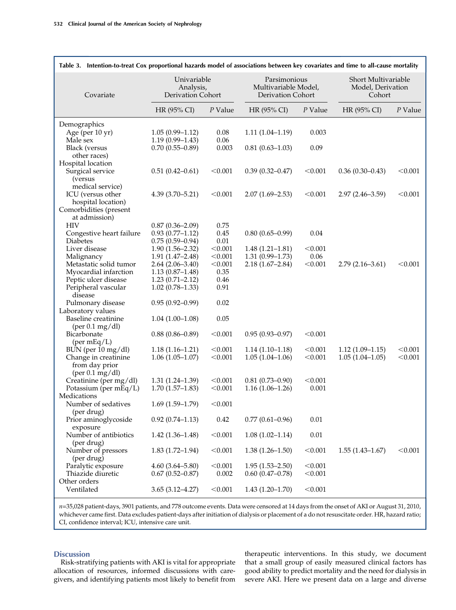| Univariable<br>Parsimonious<br>Short Multivariable<br>Analysis,<br>Multivariable Model,<br>Model, Derivation<br><b>Derivation Cohort</b><br>Derivation Cohort<br>Covariate<br>Cohort<br>$P$ Value<br>P Value<br>HR (95% CI)<br>P Value<br>HR (95% CI)<br>HR (95% CI)<br>Demographics<br>0.003<br>Age (per 10 yr)<br>$1.05(0.99 - 1.12)$<br>0.08<br>$1.11(1.04-1.19)$<br>0.06<br>Male sex<br>$1.19(0.99 - 1.43)$<br>0.09<br><b>Black</b> (versus<br>$0.70(0.55 - 0.89)$<br>0.003<br>$0.81(0.63 - 1.03)$<br>other races)<br>Hospital location<br>Surgical service<br>< 0.001<br>< 0.001<br>< 0.001<br>$0.51(0.42 - 0.61)$<br>$0.39(0.32 - 0.47)$<br>$0.36(0.30-0.43)$<br><i>(versus)</i><br>medical service)<br>ICU (versus other<br>$4.39(3.70 - 5.21)$<br>< 0.001<br>< 0.001<br>< 0.001<br>$2.07(1.69 - 2.53)$<br>$2.97(2.46 - 3.59)$<br>hospital location)<br>Comorbidities (present<br>at admission)<br><b>HIV</b><br>0.75<br>$0.87(0.36 - 2.09)$<br>0.04<br>Congestive heart failure<br>$0.93(0.77 - 1.12)$<br>0.45<br>$0.80(0.65 - 0.99)$<br><b>Diabetes</b><br>$0.75(0.59 - 0.94)$<br>0.01<br>Liver disease<br>< 0.001<br>$1.48(1.21 - 1.81)$<br>< 0.001<br>$1.90(1.56 - 2.32)$<br>$1.91(1.47 - 2.48)$<br>< 0.001<br>$1.31(0.99 - 1.73)$<br>0.06<br>Malignancy<br>Metastatic solid tumor<br>< 0.001<br>$2.18(1.67 - 2.84)$<br>< 0.001<br>< 0.001<br>$2.64(2.06-3.40)$<br>$2.79(2.16-3.61)$<br>Myocardial infarction<br>0.35<br>$1.13(0.87-1.48)$<br>$1.23(0.71 - 2.12)$<br>0.46<br>Peptic ulcer disease<br>0.91<br>Peripheral vascular<br>$1.02(0.78-1.33)$<br>disease<br>0.02<br>$0.95(0.92 - 0.99)$<br>Pulmonary disease<br>Laboratory values<br>Baseline creatinine<br>0.05<br>$1.04(1.00-1.08)$<br>$(\text{per } 0.1 \text{ mg}/\text{dl})$<br>Bicarbonate<br>< 0.001<br>< 0.001<br>$0.88(0.86 - 0.89)$<br>$0.95(0.93 - 0.97)$<br>(per $mEq/L$ )<br>BUN (per 10 mg/dl)<br>< 0.001<br>< 0.001<br>< 0.001<br>$1.18(1.16-1.21)$<br>$1.14(1.10-1.18)$<br>$1.12(1.09-1.15)$<br>< 0.001<br>Change in creatinine<br>$1.05(1.04-1.06)$<br>< 0.001<br>< 0.001<br>$1.06(1.05-1.07)$<br>$1.05(1.04-1.05)$<br>from day prior<br>$(\text{per } 0.1 \text{ mg}/\text{dl})$<br>Creatinine (per mg/dl)<br>< 0.001<br>$0.81(0.73 - 0.90)$<br>< 0.001<br>$1.31(1.24 - 1.39)$<br>< 0.001<br>Potassium (per mEq/L)<br>0.001<br>$1.70(1.57-1.83)$<br>$1.16(1.06-1.26)$ |
|------------------------------------------------------------------------------------------------------------------------------------------------------------------------------------------------------------------------------------------------------------------------------------------------------------------------------------------------------------------------------------------------------------------------------------------------------------------------------------------------------------------------------------------------------------------------------------------------------------------------------------------------------------------------------------------------------------------------------------------------------------------------------------------------------------------------------------------------------------------------------------------------------------------------------------------------------------------------------------------------------------------------------------------------------------------------------------------------------------------------------------------------------------------------------------------------------------------------------------------------------------------------------------------------------------------------------------------------------------------------------------------------------------------------------------------------------------------------------------------------------------------------------------------------------------------------------------------------------------------------------------------------------------------------------------------------------------------------------------------------------------------------------------------------------------------------------------------------------------------------------------------------------------------------------------------------------------------------------------------------------------------------------------------------------------------------------------------------------------------------------------------------------------------------------------------------------------------------------------------------------------------------------------------------------------------------------------------------------------|
|                                                                                                                                                                                                                                                                                                                                                                                                                                                                                                                                                                                                                                                                                                                                                                                                                                                                                                                                                                                                                                                                                                                                                                                                                                                                                                                                                                                                                                                                                                                                                                                                                                                                                                                                                                                                                                                                                                                                                                                                                                                                                                                                                                                                                                                                                                                                                            |
|                                                                                                                                                                                                                                                                                                                                                                                                                                                                                                                                                                                                                                                                                                                                                                                                                                                                                                                                                                                                                                                                                                                                                                                                                                                                                                                                                                                                                                                                                                                                                                                                                                                                                                                                                                                                                                                                                                                                                                                                                                                                                                                                                                                                                                                                                                                                                            |
|                                                                                                                                                                                                                                                                                                                                                                                                                                                                                                                                                                                                                                                                                                                                                                                                                                                                                                                                                                                                                                                                                                                                                                                                                                                                                                                                                                                                                                                                                                                                                                                                                                                                                                                                                                                                                                                                                                                                                                                                                                                                                                                                                                                                                                                                                                                                                            |
|                                                                                                                                                                                                                                                                                                                                                                                                                                                                                                                                                                                                                                                                                                                                                                                                                                                                                                                                                                                                                                                                                                                                                                                                                                                                                                                                                                                                                                                                                                                                                                                                                                                                                                                                                                                                                                                                                                                                                                                                                                                                                                                                                                                                                                                                                                                                                            |
|                                                                                                                                                                                                                                                                                                                                                                                                                                                                                                                                                                                                                                                                                                                                                                                                                                                                                                                                                                                                                                                                                                                                                                                                                                                                                                                                                                                                                                                                                                                                                                                                                                                                                                                                                                                                                                                                                                                                                                                                                                                                                                                                                                                                                                                                                                                                                            |
|                                                                                                                                                                                                                                                                                                                                                                                                                                                                                                                                                                                                                                                                                                                                                                                                                                                                                                                                                                                                                                                                                                                                                                                                                                                                                                                                                                                                                                                                                                                                                                                                                                                                                                                                                                                                                                                                                                                                                                                                                                                                                                                                                                                                                                                                                                                                                            |
|                                                                                                                                                                                                                                                                                                                                                                                                                                                                                                                                                                                                                                                                                                                                                                                                                                                                                                                                                                                                                                                                                                                                                                                                                                                                                                                                                                                                                                                                                                                                                                                                                                                                                                                                                                                                                                                                                                                                                                                                                                                                                                                                                                                                                                                                                                                                                            |
|                                                                                                                                                                                                                                                                                                                                                                                                                                                                                                                                                                                                                                                                                                                                                                                                                                                                                                                                                                                                                                                                                                                                                                                                                                                                                                                                                                                                                                                                                                                                                                                                                                                                                                                                                                                                                                                                                                                                                                                                                                                                                                                                                                                                                                                                                                                                                            |
|                                                                                                                                                                                                                                                                                                                                                                                                                                                                                                                                                                                                                                                                                                                                                                                                                                                                                                                                                                                                                                                                                                                                                                                                                                                                                                                                                                                                                                                                                                                                                                                                                                                                                                                                                                                                                                                                                                                                                                                                                                                                                                                                                                                                                                                                                                                                                            |
|                                                                                                                                                                                                                                                                                                                                                                                                                                                                                                                                                                                                                                                                                                                                                                                                                                                                                                                                                                                                                                                                                                                                                                                                                                                                                                                                                                                                                                                                                                                                                                                                                                                                                                                                                                                                                                                                                                                                                                                                                                                                                                                                                                                                                                                                                                                                                            |
|                                                                                                                                                                                                                                                                                                                                                                                                                                                                                                                                                                                                                                                                                                                                                                                                                                                                                                                                                                                                                                                                                                                                                                                                                                                                                                                                                                                                                                                                                                                                                                                                                                                                                                                                                                                                                                                                                                                                                                                                                                                                                                                                                                                                                                                                                                                                                            |
|                                                                                                                                                                                                                                                                                                                                                                                                                                                                                                                                                                                                                                                                                                                                                                                                                                                                                                                                                                                                                                                                                                                                                                                                                                                                                                                                                                                                                                                                                                                                                                                                                                                                                                                                                                                                                                                                                                                                                                                                                                                                                                                                                                                                                                                                                                                                                            |
|                                                                                                                                                                                                                                                                                                                                                                                                                                                                                                                                                                                                                                                                                                                                                                                                                                                                                                                                                                                                                                                                                                                                                                                                                                                                                                                                                                                                                                                                                                                                                                                                                                                                                                                                                                                                                                                                                                                                                                                                                                                                                                                                                                                                                                                                                                                                                            |
|                                                                                                                                                                                                                                                                                                                                                                                                                                                                                                                                                                                                                                                                                                                                                                                                                                                                                                                                                                                                                                                                                                                                                                                                                                                                                                                                                                                                                                                                                                                                                                                                                                                                                                                                                                                                                                                                                                                                                                                                                                                                                                                                                                                                                                                                                                                                                            |
|                                                                                                                                                                                                                                                                                                                                                                                                                                                                                                                                                                                                                                                                                                                                                                                                                                                                                                                                                                                                                                                                                                                                                                                                                                                                                                                                                                                                                                                                                                                                                                                                                                                                                                                                                                                                                                                                                                                                                                                                                                                                                                                                                                                                                                                                                                                                                            |
|                                                                                                                                                                                                                                                                                                                                                                                                                                                                                                                                                                                                                                                                                                                                                                                                                                                                                                                                                                                                                                                                                                                                                                                                                                                                                                                                                                                                                                                                                                                                                                                                                                                                                                                                                                                                                                                                                                                                                                                                                                                                                                                                                                                                                                                                                                                                                            |
|                                                                                                                                                                                                                                                                                                                                                                                                                                                                                                                                                                                                                                                                                                                                                                                                                                                                                                                                                                                                                                                                                                                                                                                                                                                                                                                                                                                                                                                                                                                                                                                                                                                                                                                                                                                                                                                                                                                                                                                                                                                                                                                                                                                                                                                                                                                                                            |
|                                                                                                                                                                                                                                                                                                                                                                                                                                                                                                                                                                                                                                                                                                                                                                                                                                                                                                                                                                                                                                                                                                                                                                                                                                                                                                                                                                                                                                                                                                                                                                                                                                                                                                                                                                                                                                                                                                                                                                                                                                                                                                                                                                                                                                                                                                                                                            |
|                                                                                                                                                                                                                                                                                                                                                                                                                                                                                                                                                                                                                                                                                                                                                                                                                                                                                                                                                                                                                                                                                                                                                                                                                                                                                                                                                                                                                                                                                                                                                                                                                                                                                                                                                                                                                                                                                                                                                                                                                                                                                                                                                                                                                                                                                                                                                            |
|                                                                                                                                                                                                                                                                                                                                                                                                                                                                                                                                                                                                                                                                                                                                                                                                                                                                                                                                                                                                                                                                                                                                                                                                                                                                                                                                                                                                                                                                                                                                                                                                                                                                                                                                                                                                                                                                                                                                                                                                                                                                                                                                                                                                                                                                                                                                                            |
|                                                                                                                                                                                                                                                                                                                                                                                                                                                                                                                                                                                                                                                                                                                                                                                                                                                                                                                                                                                                                                                                                                                                                                                                                                                                                                                                                                                                                                                                                                                                                                                                                                                                                                                                                                                                                                                                                                                                                                                                                                                                                                                                                                                                                                                                                                                                                            |
|                                                                                                                                                                                                                                                                                                                                                                                                                                                                                                                                                                                                                                                                                                                                                                                                                                                                                                                                                                                                                                                                                                                                                                                                                                                                                                                                                                                                                                                                                                                                                                                                                                                                                                                                                                                                                                                                                                                                                                                                                                                                                                                                                                                                                                                                                                                                                            |
| Medications                                                                                                                                                                                                                                                                                                                                                                                                                                                                                                                                                                                                                                                                                                                                                                                                                                                                                                                                                                                                                                                                                                                                                                                                                                                                                                                                                                                                                                                                                                                                                                                                                                                                                                                                                                                                                                                                                                                                                                                                                                                                                                                                                                                                                                                                                                                                                |
| Number of sedatives<br>$1.69(1.59-1.79)$<br>< 0.001<br>(per drug)                                                                                                                                                                                                                                                                                                                                                                                                                                                                                                                                                                                                                                                                                                                                                                                                                                                                                                                                                                                                                                                                                                                                                                                                                                                                                                                                                                                                                                                                                                                                                                                                                                                                                                                                                                                                                                                                                                                                                                                                                                                                                                                                                                                                                                                                                          |
| 0.42<br>0.01<br>Prior aminoglycoside<br>$0.92(0.74 - 1.13)$<br>$0.77(0.61 - 0.96)$<br>exposure                                                                                                                                                                                                                                                                                                                                                                                                                                                                                                                                                                                                                                                                                                                                                                                                                                                                                                                                                                                                                                                                                                                                                                                                                                                                                                                                                                                                                                                                                                                                                                                                                                                                                                                                                                                                                                                                                                                                                                                                                                                                                                                                                                                                                                                             |
| < 0.001<br>$0.01\,$<br>Number of antibiotics<br>$1.42(1.36-1.48)$<br>$1.08(1.02 - 1.14)$<br>(per drug)                                                                                                                                                                                                                                                                                                                                                                                                                                                                                                                                                                                                                                                                                                                                                                                                                                                                                                                                                                                                                                                                                                                                                                                                                                                                                                                                                                                                                                                                                                                                                                                                                                                                                                                                                                                                                                                                                                                                                                                                                                                                                                                                                                                                                                                     |
| < 0.001<br>< 0.001<br>< 0.001<br>$1.83(1.72 - 1.94)$<br>$1.38(1.26 - 1.50)$<br>$1.55(1.43 - 1.67)$<br>Number of pressors<br>(per drug)                                                                                                                                                                                                                                                                                                                                                                                                                                                                                                                                                                                                                                                                                                                                                                                                                                                                                                                                                                                                                                                                                                                                                                                                                                                                                                                                                                                                                                                                                                                                                                                                                                                                                                                                                                                                                                                                                                                                                                                                                                                                                                                                                                                                                     |
| < 0.001<br>< 0.001<br>$1.95(1.53 - 2.50)$<br>Paralytic exposure<br>$4.60(3.64 - 5.80)$                                                                                                                                                                                                                                                                                                                                                                                                                                                                                                                                                                                                                                                                                                                                                                                                                                                                                                                                                                                                                                                                                                                                                                                                                                                                                                                                                                                                                                                                                                                                                                                                                                                                                                                                                                                                                                                                                                                                                                                                                                                                                                                                                                                                                                                                     |
| Thiazide diuretic<br>$0.67(0.52 - 0.87)$<br>0.002<br>$0.60$ $(0.47 - 0.78)$<br>< 0.001<br>Other orders                                                                                                                                                                                                                                                                                                                                                                                                                                                                                                                                                                                                                                                                                                                                                                                                                                                                                                                                                                                                                                                                                                                                                                                                                                                                                                                                                                                                                                                                                                                                                                                                                                                                                                                                                                                                                                                                                                                                                                                                                                                                                                                                                                                                                                                     |
| < 0.001<br>< 0.001<br>Ventilated<br>$3.65(3.12 - 4.27)$<br>$1.43(1.20-1.70)$                                                                                                                                                                                                                                                                                                                                                                                                                                                                                                                                                                                                                                                                                                                                                                                                                                                                                                                                                                                                                                                                                                                                                                                                                                                                                                                                                                                                                                                                                                                                                                                                                                                                                                                                                                                                                                                                                                                                                                                                                                                                                                                                                                                                                                                                               |

n=35,028 patient-days, 3901 patients, and 778 outcome events. Data were censored at 14 days from the onset of AKI or August 31, 2010, whichever came first. Data excludes patient-days after initiation of dialysis or placement of a do not resuscitate order. HR, hazard ratio; CI, confidence interval; ICU, intensive care unit.

# **Discussion**

Risk-stratifying patients with AKI is vital for appropriate allocation of resources, informed discussions with caregivers, and identifying patients most likely to benefit from therapeutic interventions. In this study, we document that a small group of easily measured clinical factors has good ability to predict mortality and the need for dialysis in severe AKI. Here we present data on a large and diverse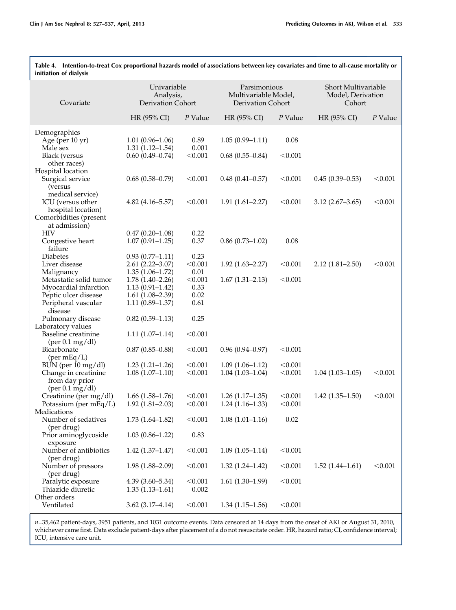| initiation of dialysis                                          |                                               |                    |                                                                  |                    |                                                    |           |
|-----------------------------------------------------------------|-----------------------------------------------|--------------------|------------------------------------------------------------------|--------------------|----------------------------------------------------|-----------|
| Covariate                                                       | Univariable<br>Analysis,<br>Derivation Cohort |                    | Parsimonious<br>Multivariable Model,<br><b>Derivation Cohort</b> |                    | Short Multivariable<br>Model, Derivation<br>Cohort |           |
|                                                                 | HR (95% CI)                                   | $P$ Value          | HR (95% CI)                                                      | P Value            | HR (95% CI)                                        | $P$ Value |
| Demographics                                                    |                                               |                    |                                                                  |                    |                                                    |           |
| Age (per 10 yr)                                                 | $1.01(0.96-1.06)$                             | 0.89               | $1.05(0.99 - 1.11)$                                              | 0.08               |                                                    |           |
| Male sex                                                        | $1.31(1.12 - 1.54)$                           | 0.001              |                                                                  |                    |                                                    |           |
| <b>Black</b> (versus                                            | $0.60(0.49 - 0.74)$                           | < 0.001            | $0.68(0.55 - 0.84)$                                              | < 0.001            |                                                    |           |
| other races)                                                    |                                               |                    |                                                                  |                    |                                                    |           |
| Hospital location                                               |                                               |                    |                                                                  |                    |                                                    |           |
| Surgical service                                                | $0.68(0.58 - 0.79)$                           | < 0.001            | $0.48(0.41 - 0.57)$                                              | < 0.001            | $0.45(0.39-0.53)$                                  | < 0.001   |
| <i>(versus)</i>                                                 |                                               |                    |                                                                  |                    |                                                    |           |
| medical service)                                                |                                               |                    |                                                                  |                    |                                                    |           |
| ICU (versus other                                               | $4.82(4.16 - 5.57)$                           | < 0.001            | $1.91(1.61 - 2.27)$                                              | < 0.001            | $3.12(2.67-3.65)$                                  | < 0.001   |
| hospital location)<br>Comorbidities (present                    |                                               |                    |                                                                  |                    |                                                    |           |
| at admission)                                                   |                                               |                    |                                                                  |                    |                                                    |           |
| <b>HIV</b>                                                      | $0.47(0.20 - 1.08)$                           | 0.22               |                                                                  |                    |                                                    |           |
| Congestive heart                                                | $1.07(0.91 - 1.25)$                           | 0.37               | $0.86(0.73-1.02)$                                                | 0.08               |                                                    |           |
| failure                                                         |                                               |                    |                                                                  |                    |                                                    |           |
| <b>Diabetes</b>                                                 | $0.93(0.77 - 1.11)$                           | 0.23               |                                                                  |                    |                                                    |           |
| Liver disease                                                   | $2.61(2.22 - 3.07)$                           | < 0.001            | $1.92(1.63 - 2.27)$                                              | < 0.001            | $2.12(1.81 - 2.50)$                                | < 0.001   |
| Malignancy                                                      | $1.35(1.06 - 1.72)$                           | 0.01               |                                                                  |                    |                                                    |           |
| Metastatic solid tumor                                          | $1.78(1.40-2.26)$                             | < 0.001            | $1.67(1.31 - 2.13)$                                              | < 0.001            |                                                    |           |
| Myocardial infarction                                           | $1.13(0.91 - 1.42)$                           | 0.33               |                                                                  |                    |                                                    |           |
| Peptic ulcer disease                                            | $1.61(1.08-2.39)$                             | 0.02               |                                                                  |                    |                                                    |           |
| Peripheral vascular<br>disease                                  | $1.11(0.89-1.37)$                             | 0.61               |                                                                  |                    |                                                    |           |
| Pulmonary disease                                               | $0.82(0.59-1.13)$                             | 0.25               |                                                                  |                    |                                                    |           |
| Laboratory values                                               |                                               |                    |                                                                  |                    |                                                    |           |
| Baseline creatinine<br>$(\text{per } 0.1 \text{ mg}/\text{dl})$ | $1.11(1.07-1.14)$                             | < 0.001            |                                                                  |                    |                                                    |           |
| Bicarbonate                                                     | $0.87(0.85 - 0.88)$                           | < 0.001            | $0.96(0.94 - 0.97)$                                              | < 0.001            |                                                    |           |
| $(\text{per mEq/L})$                                            |                                               |                    |                                                                  |                    |                                                    |           |
| BUN (per 10 mg/dl)<br>Change in creatinine                      | $1.23(1.21-1.26)$                             | < 0.001<br>< 0.001 | $1.09(1.06-1.12)$                                                | < 0.001<br>< 0.001 |                                                    | < 0.001   |
| from day prior                                                  | $1.08(1.07-1.10)$                             |                    | $1.04(1.03-1.04)$                                                |                    | $1.04(1.03-1.05)$                                  |           |
| $(\text{per } 0.1 \text{ mg}/\text{dl})$                        |                                               |                    |                                                                  |                    |                                                    |           |
| Creatinine (per mg/dl)                                          | $1.66(1.58-1.76)$                             | < 0.001            | $1.26(1.17-1.35)$                                                | < 0.001            | $1.42(1.35-1.50)$                                  | < 0.001   |
| Potassium (per mEq/L)                                           | $1.92(1.81 - 2.03)$                           | < 0.001            | $1.24(1.16-1.33)$                                                | < 0.001            |                                                    |           |
| Medications                                                     |                                               |                    |                                                                  |                    |                                                    |           |
| Number of sedatives<br>(per drug)                               | $1.73(1.64 - 1.82)$                           | < 0.001            | $1.08(1.01-1.16)$                                                | 0.02               |                                                    |           |
| Prior aminoglycoside<br>exposure                                | $1.03(0.86 - 1.22)$                           | 0.83               |                                                                  |                    |                                                    |           |
| Number of antibiotics                                           | $1.42(1.37-1.47)$                             | < 0.001            | $1.09(1.05-1.14)$                                                | < 0.001            |                                                    |           |
| (per drug)<br>Number of pressors                                | $1.98(1.88 - 2.09)$                           | < 0.001            | $1.32(1.24 - 1.42)$                                              | < 0.001            | $1.52(1.44-1.61)$                                  | < 0.001   |
| (per drug)                                                      |                                               |                    |                                                                  |                    |                                                    |           |
| Paralytic exposure<br>Thiazide diuretic                         | $4.39(3.60 - 5.34)$<br>$1.35(1.13 - 1.61)$    | < 0.001<br>0.002   | $1.61(1.30-1.99)$                                                | < 0.001            |                                                    |           |
| Other orders                                                    |                                               |                    |                                                                  |                    |                                                    |           |
| Ventilated                                                      | $3.62(3.17 - 4.14)$                           | < 0.001            | $1.34(1.15-1.56)$                                                | < 0.001            |                                                    |           |
|                                                                 |                                               |                    |                                                                  |                    |                                                    |           |

Table 4. Intention-to-treat Cox proportional hazards model of associations between key covariates and time to all-cause mortality or

n=35,462 patient-days, 3951 patients, and 1031 outcome events. Data censored at 14 days from the onset of AKI or August 31, 2010, whichever came first. Data exclude patient-days after placement of a do not resuscitate order. HR, hazard ratio; CI, confidence interval; ICU, intensive care unit.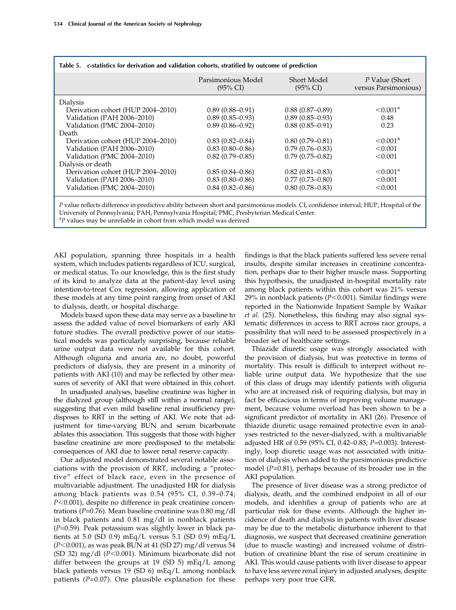| Table 5. c-statistics for derivation and validation cohorts, stratified by outcome of prediction |                                           |                                    |                                        |  |  |  |  |
|--------------------------------------------------------------------------------------------------|-------------------------------------------|------------------------------------|----------------------------------------|--|--|--|--|
|                                                                                                  | Parsimonious Model<br>$(95\% \text{ CI})$ | Short Model<br>$(95\% \text{ CI})$ | P Value (Short<br>versus Parsimonious) |  |  |  |  |
| <b>Dialysis</b>                                                                                  |                                           |                                    |                                        |  |  |  |  |
| Derivation cohort (HUP 2004–2010)                                                                | $0.89(0.88 - 0.91)$                       | $0.88(0.87-0.89)$                  | $\leq 0.001^{\rm a}$                   |  |  |  |  |
| Validation (PAH 2006-2010)                                                                       | $0.89(0.85-0.93)$                         | $0.89(0.85 - 0.93)$                | 0.48                                   |  |  |  |  |
| Validation (PMC 2004-2010)                                                                       | $0.89(0.86 - 0.92)$                       | $0.88(0.85 - 0.91)$                | 0.23                                   |  |  |  |  |
| Death                                                                                            |                                           |                                    |                                        |  |  |  |  |
| Derivation cohort (HUP 2004-2010)                                                                | $0.83(0.82 - 0.84)$                       | $0.80(0.79 - 0.81)$                | $\leq 0.001^{\text{a}}$                |  |  |  |  |
| Validation (PAH 2006-2010)                                                                       | $0.83(0.80 - 0.86)$                       | $0.79(0.76 - 0.83)$                | < 0.001                                |  |  |  |  |
| Validation (PMC 2004-2010)                                                                       | $0.82(0.79 - 0.85)$                       | $0.79(0.75 - 0.82)$                | < 0.001                                |  |  |  |  |
| Dialysis or death                                                                                |                                           |                                    |                                        |  |  |  |  |
| Derivation cohort (HUP 2004–2010)                                                                | $0.85(0.84 - 0.86)$                       | $0.82(0.81 - 0.83)$                | $\leq 0.001^{\rm a}$                   |  |  |  |  |
| Validation (PAH 2006-2010)                                                                       | $0.83(0.80 - 0.86)$                       | $0.77(0.73 - 0.80)$                | < 0.001                                |  |  |  |  |
| Validation (PMC 2004-2010)                                                                       | $0.84(0.82 - 0.86)$                       | $0.80(0.78 - 0.83)$                | < 0.001                                |  |  |  |  |
|                                                                                                  |                                           |                                    |                                        |  |  |  |  |

P value reflects difference in predictive ability between short and parsimonious models. CI, confidence interval; HUP, Hospital of the University of Pennsylvania; PAH, Pennsylvania Hospital; PMC, Presbyterian Medical Center.

<sup>a</sup>P values may be unreliable in cohort from which model was derived

AKI population, spanning three hospitals in a health system, which includes patients regardless of ICU, surgical, or medical status. To our knowledge, this is the first study of its kind to analyze data at the patient-day level using intention-to-treat Cox regression, allowing application of these models at any time point ranging from onset of AKI to dialysis, death, or hospital discharge.

Models based upon these data may serve as a baseline to assess the added value of novel biomarkers of early AKI future studies. The overall predictive power of our statistical models was particularly surprising, because reliable urine output data were not available for this cohort. Although oliguria and anuria are, no doubt, powerful predictors of dialysis, they are present in a minority of patients with AKI (10) and may be reflected by other measures of severity of AKI that were obtained in this cohort.

In unadjusted analyses, baseline creatinine was higher in the dialyzed group (although still within a normal range), suggesting that even mild baseline renal insufficiency predisposes to RRT in the setting of AKI. We note that adjustment for time-varying BUN and serum bicarbonate ablates this association. This suggests that those with higher baseline creatinine are more predisposed to the metabolic consequences of AKI due to lower renal reserve capacity.

Our adjusted model demonstrated several notable associations with the provision of RRT, including a "protective" effect of black race, even in the presence of multivariable adjustment. The unadjusted HR for dialysis among black patients was 0.54 (95% CI, 0.39–0.74;  $P<0.001$ ), despite no difference in peak creatinine concentrations ( $P=0.76$ ). Mean baseline creatinine was  $0.80 \text{ mg/dl}$ in black patients and 0.81 mg/dl in nonblack patients  $(P=0.59)$ . Peak potassium was slightly lower in black patients at 5.0 (SD 0.9) mEq/L versus 5.1 (SD 0.9) mEq/L  $(P<0.001)$ , as was peak BUN at 41 (SD 27) mg/dl versus 54 (SD 32) mg/dl ( $P<0.001$ ). Minimum bicarbonate did not differ between the groups at 19 (SD 5) mEq/L among black patients versus 19 (SD 6) mEq/L among nonblack patients  $(P=0.07)$ . One plausible explanation for these

findings is that the black patients suffered less severe renal insults, despite similar increases in creatinine concentration, perhaps due to their higher muscle mass. Supporting this hypothesis, the unadjusted in-hospital mortality rate among black patients within this cohort was 21% versus 29% in nonblack patients ( $P<0.001$ ). Similar findings were reported in the Nationwide Inpatient Sample by Waikar et al. (25). Nonetheless, this finding may also signal systematic differences in access to RRT across race groups, a possibility that will need to be assessed prospectively in a broader set of healthcare settings.

Thiazide diuretic usage was strongly associated with the provision of dialysis, but was protective in terms of mortality. This result is difficult to interpret without reliable urine output data. We hypothesize that the use of this class of drugs may identify patients with oliguria who are at increased risk of requiring dialysis, but may in fact be efficacious in terms of improving volume management, because volume overload has been shown to be a significant predictor of mortality in AKI (26). Presence of thiazide diuretic usage remained protective even in analyses restricted to the never-dialyzed, with a multivariable adjusted HR of 0.59 (95% CI, 0.42–0.83; P=0.003). Interestingly, loop diuretic usage was not associated with initiation of dialysis when added to the parsimonious predictive model  $(P=0.81)$ , perhaps because of its broader use in the AKI population.

The presence of liver disease was a strong predictor of dialysis, death, and the combined endpoint in all of our models, and identifies a group of patients who are at particular risk for these events. Although the higher incidence of death and dialysis in patients with liver disease may be due to the metabolic disturbance inherent to that diagnosis, we suspect that decreased creatinine generation (due to muscle wasting) and increased volume of distribution of creatinine blunt the rise of serum creatinine in AKI. This would cause patients with liver disease to appear to have less severe renal injury in adjusted analyses, despite perhaps very poor true GFR.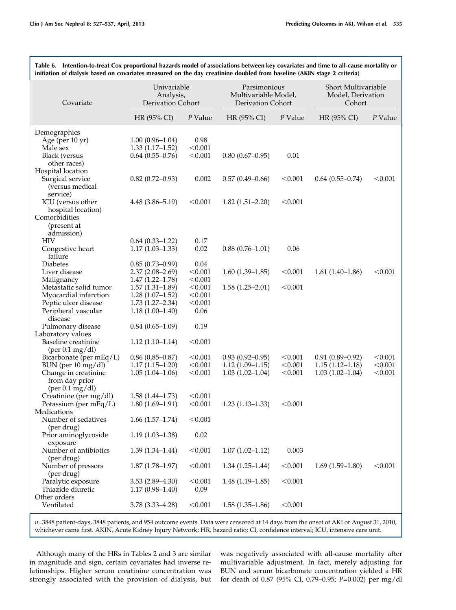| Table 6. Intention-to-treat Cox proportional hazards model of associations between key covariates and time to all-cause mortality or<br>initiation of dialysis based on covariates measured on the day creatinine doubled from baseline (AKIN stage 2 criteria) |                                                      |                    |                                                           |          |                                                    |         |
|-----------------------------------------------------------------------------------------------------------------------------------------------------------------------------------------------------------------------------------------------------------------|------------------------------------------------------|--------------------|-----------------------------------------------------------|----------|----------------------------------------------------|---------|
| Covariate                                                                                                                                                                                                                                                       | Univariable<br>Analysis,<br><b>Derivation Cohort</b> |                    | Parsimonious<br>Multivariable Model,<br>Derivation Cohort |          | Short Multivariable<br>Model, Derivation<br>Cohort |         |
|                                                                                                                                                                                                                                                                 | HR (95% CI)                                          | $P$ Value          | HR (95% CI)                                               | P Value  | HR (95% CI)                                        | P Value |
| Demographics                                                                                                                                                                                                                                                    |                                                      |                    |                                                           |          |                                                    |         |
| Age (per 10 yr)                                                                                                                                                                                                                                                 | $1.00(0.96 - 1.04)$                                  | 0.98               |                                                           |          |                                                    |         |
| Male sex                                                                                                                                                                                                                                                        | $1.33(1.17-1.52)$                                    | < 0.001            |                                                           |          |                                                    |         |
| <b>Black</b> (versus                                                                                                                                                                                                                                            | $0.64(0.55-0.76)$                                    | < 0.001            | $0.80(0.67-0.95)$                                         | $0.01\,$ |                                                    |         |
| other races)                                                                                                                                                                                                                                                    |                                                      |                    |                                                           |          |                                                    |         |
| Hospital location                                                                                                                                                                                                                                               | $0.82$ (0.72-0.93)                                   | 0.002              |                                                           | < 0.001  |                                                    | < 0.001 |
| Surgical service                                                                                                                                                                                                                                                |                                                      |                    | $0.57(0.49-0.66)$                                         |          | $0.64(0.55-0.74)$                                  |         |
| (versus medical<br>service)                                                                                                                                                                                                                                     |                                                      |                    |                                                           |          |                                                    |         |
| ICU (versus other                                                                                                                                                                                                                                               | $4.48(3.86 - 5.19)$                                  | < 0.001            | $1.82(1.51 - 2.20)$                                       | < 0.001  |                                                    |         |
| hospital location)                                                                                                                                                                                                                                              |                                                      |                    |                                                           |          |                                                    |         |
| Comorbidities                                                                                                                                                                                                                                                   |                                                      |                    |                                                           |          |                                                    |         |
| (present at                                                                                                                                                                                                                                                     |                                                      |                    |                                                           |          |                                                    |         |
| admission)                                                                                                                                                                                                                                                      |                                                      |                    |                                                           |          |                                                    |         |
| <b>HIV</b>                                                                                                                                                                                                                                                      | $0.64(0.33-1.22)$                                    | 0.17               |                                                           |          |                                                    |         |
| Congestive heart                                                                                                                                                                                                                                                | $1.17(1.03-1.33)$                                    | 0.02               | $0.88(0.76 - 1.01)$                                       | 0.06     |                                                    |         |
| failure                                                                                                                                                                                                                                                         |                                                      |                    |                                                           |          |                                                    |         |
| <b>Diabetes</b>                                                                                                                                                                                                                                                 | $0.85(0.73 - 0.99)$                                  | 0.04               |                                                           |          |                                                    |         |
| Liver disease                                                                                                                                                                                                                                                   | $2.37(2.08 - 2.69)$                                  | < 0.001            | $1.60(1.39-1.85)$                                         | < 0.001  | $1.61(1.40-1.86)$                                  | < 0.001 |
| Malignancy<br>Metastatic solid tumor                                                                                                                                                                                                                            | $1.47(1.22 - 1.78)$                                  | < 0.001            |                                                           | < 0.001  |                                                    |         |
| Myocardial infarction                                                                                                                                                                                                                                           | $1.57(1.31-1.89)$<br>$1.28(1.07-1.52)$               | < 0.001<br>< 0.001 | $1.58(1.25-2.01)$                                         |          |                                                    |         |
| Peptic ulcer disease                                                                                                                                                                                                                                            | $1.73(1.27-2.34)$                                    | < 0.001            |                                                           |          |                                                    |         |
| Peripheral vascular                                                                                                                                                                                                                                             | $1.18(1.00-1.40)$                                    | 0.06               |                                                           |          |                                                    |         |
| disease                                                                                                                                                                                                                                                         |                                                      |                    |                                                           |          |                                                    |         |
| Pulmonary disease                                                                                                                                                                                                                                               | $0.84(0.65-1.09)$                                    | 0.19               |                                                           |          |                                                    |         |
| Laboratory values                                                                                                                                                                                                                                               |                                                      |                    |                                                           |          |                                                    |         |
| Baseline creatinine                                                                                                                                                                                                                                             | $1.12(1.10-1.14)$                                    | < 0.001            |                                                           |          |                                                    |         |
| $(\text{per } 0.1 \text{ mg}/\text{dl})$                                                                                                                                                                                                                        |                                                      |                    |                                                           |          |                                                    |         |
| Bicarbonate (per mEq/L)                                                                                                                                                                                                                                         | $0,86$ $(0,85-0.87)$                                 | < 0.001            | $0.93(0.92 - 0.95)$                                       | < 0.001  | $0.91(0.89 - 0.92)$                                | < 0.001 |
| BUN (per 10 mg/dl)                                                                                                                                                                                                                                              | $1.17(1.15-1.20)$                                    | < 0.001            | $1.12(1.09-1.15)$                                         | < 0.001  | $1.15(1.12 - 1.18)$                                | < 0.001 |
| Change in creatinine                                                                                                                                                                                                                                            | $1.05(1.04-1.06)$                                    | < 0.001            | $1.03(1.02 - 1.04)$                                       | < 0.001  | $1.03(1.02 - 1.04)$                                | < 0.001 |
| from day prior<br>(per $0.1 \text{ mg/dl}$ )                                                                                                                                                                                                                    |                                                      |                    |                                                           |          |                                                    |         |
| Creatinine (per mg/dl)                                                                                                                                                                                                                                          | $1.58(1.44 - 1.73)$                                  | < 0.001            |                                                           |          |                                                    |         |
| Potassium (per $mEq/L$ )                                                                                                                                                                                                                                        | $1.80(1.69-1.91)$                                    | < 0.001            | $1.23(1.13 - 1.33)$                                       | < 0.001  |                                                    |         |
| Medications                                                                                                                                                                                                                                                     |                                                      |                    |                                                           |          |                                                    |         |
| Number of sedatives                                                                                                                                                                                                                                             | $1.66(1.57-1.74)$                                    | < 0.001            |                                                           |          |                                                    |         |
| (per drug)                                                                                                                                                                                                                                                      |                                                      |                    |                                                           |          |                                                    |         |
| Prior aminoglycoside                                                                                                                                                                                                                                            | $1.19(1.03-1.38)$                                    | 0.02               |                                                           |          |                                                    |         |
| exposure                                                                                                                                                                                                                                                        |                                                      |                    |                                                           |          |                                                    |         |
| Number of antibiotics                                                                                                                                                                                                                                           | $1.39(1.34 - 1.44)$                                  | < 0.001            | $1.07(1.02 - 1.12)$                                       | 0.003    |                                                    |         |
| (per drug)                                                                                                                                                                                                                                                      |                                                      |                    |                                                           |          |                                                    |         |
| Number of pressors                                                                                                                                                                                                                                              | $1.87(1.78-1.97)$                                    | < 0.001            | $1.34(1.25-1.44)$                                         | < 0.001  | $1.69(1.59-1.80)$                                  | < 0.001 |
| (per drug)<br>Paralytic exposure                                                                                                                                                                                                                                | $3.53(2.89 - 4.30)$                                  | < 0.001            | $1.48(1.19-1.85)$                                         | < 0.001  |                                                    |         |
| Thiazide diuretic                                                                                                                                                                                                                                               | $1.17(0.98 - 1.40)$                                  | 0.09               |                                                           |          |                                                    |         |
| Other orders                                                                                                                                                                                                                                                    |                                                      |                    |                                                           |          |                                                    |         |
| Ventilated                                                                                                                                                                                                                                                      | $3.78(3.33 - 4.28)$                                  | < 0.001            | $1.58(1.35-1.86)$                                         | < 0.001  |                                                    |         |
|                                                                                                                                                                                                                                                                 |                                                      |                    |                                                           |          |                                                    |         |

n=3848 patient-days, 3848 patients, and 954 outcome events. Data were censored at 14 days from the onset of AKI or August 31, 2010, whichever came first. AKIN, Acute Kidney Injury Network; HR, hazard ratio; CI, confidence interval; ICU, intensive care unit.

Although many of the HRs in Tables 2 and 3 are similar in magnitude and sign, certain covariates had inverse relationships. Higher serum creatinine concentration was strongly associated with the provision of dialysis, but was negatively associated with all-cause mortality after multivariable adjustment. In fact, merely adjusting for BUN and serum bicarbonate concentration yielded a HR for death of 0.87 (95% CI, 0.79–0.95; P=0.002) per mg/dl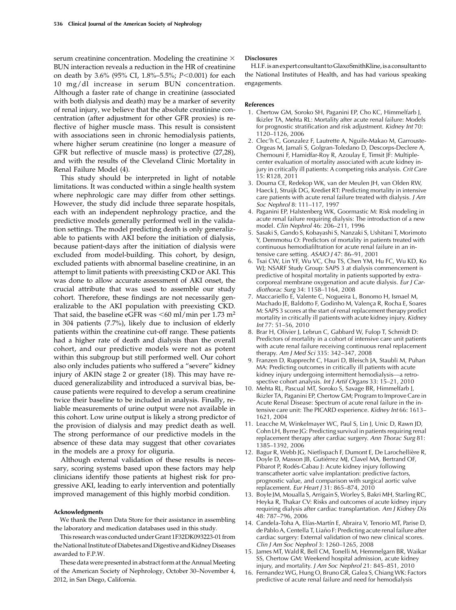serum creatinine concentration. Modeling the creatinine  $\times$ BUN interaction reveals a reduction in the HR of creatinine on death by 3.6% (95% CI, 1.8%–5.5%;  $P<0.001$ ) for each 10 mg/dl increase in serum BUN concentration. Although a faster rate of change in creatinine (associated with both dialysis and death) may be a marker of severity of renal injury, we believe that the absolute creatinine concentration (after adjustment for other GFR proxies) is reflective of higher muscle mass. This result is consistent with associations seen in chronic hemodialysis patients, where higher serum creatinine (no longer a measure of GFR but reflective of muscle mass) is protective (27,28), and with the results of the Cleveland Clinic Mortality in Renal Failure Model (4).

This study should be interpreted in light of notable limitations. It was conducted within a single health system where nephrologic care may differ from other settings. However, the study did include three separate hospitals, each with an independent nephrology practice, and the predictive models generally performed well in the validation settings. The model predicting death is only generalizable to patients with AKI before the initiation of dialysis, because patient-days after the initiation of dialysis were excluded from model-building. This cohort, by design, excluded patients with abnormal baseline creatinine, in an attempt to limit patients with preexisting CKD or AKI. This was done to allow accurate assessment of AKI onset, the crucial attribute that was used to assemble our study cohort. Therefore, these findings are not necessarily generalizable to the AKI population with preexisting CKD. That said, the baseline eGFR was  $\leq 60$  ml/min per 1.73 m<sup>2</sup> in 304 patients (7.7%), likely due to inclusion of elderly patients within the creatinine cut-off range. These patients had a higher rate of death and dialysis than the overall cohort, and our predictive models were not as potent within this subgroup but still performed well. Our cohort also only includes patients who suffered a "severe" kidney injury of AKIN stage 2 or greater (18). This may have reduced generalizability and introduced a survival bias, because patients were required to develop a serum creatinine twice their baseline to be included in analysis. Finally, reliable measurements of urine output were not available in this cohort. Low urine output is likely a strong predictor of the provision of dialysis and may predict death as well. The strong performance of our predictive models in the absence of these data may suggest that other covariates in the models are a proxy for oliguria.

Although external validation of these results is necessary, scoring systems based upon these factors may help clinicians identify those patients at highest risk for progressive AKI, leading to early intervention and potentially improved management of this highly morbid condition.

#### Acknowledgments

We thank the Penn Data Store for their assistance in assembling the laboratory and medication databases used in this study.

This research was conducted under Grant 1F32DK093223-01 from theNational Institute of Diabetes and Digestive and KidneyDiseases awarded to F.P.W.

These data were presented in abstract form at the Annual Meeting of the American Society of Nephrology, October 30–November 4, 2012, in San Diego, California.

#### **Disclosures**

H.I.F. is an expert consultant to GlaxoSmithKline, is a consultant to the National Institutes of Health, and has had various speaking engagements.

#### References

- 1. Chertow GM, Soroko SH, Paganini EP, Cho KC, Himmelfarb J, Ikizler TA, Mehta RL: Mortality after acute renal failure: Models for prognostic stratification and risk adjustment. Kidney Int 70: 1120–1126, 2006
- 2. Clec'h C, Gonzalez F, Lautrette A, Nguile-Makao M, Garrouste-Orgeas M, Jamali S, Golgran-Toledano D, Descorps-Declere A, Chemouni F, Hamidfar-Roy R, Azoulay E, Timsit JF: Multiplecenter evaluation of mortality associated with acute kidney injury in critically ill patients: A competing risks analysis. Crit Care 15: R128, 2011
- 3. Douma CE, Redekop WK, van der Meulen JH, van Olden RW, Haeck J, Struijk DG, Krediet RT: Predicting mortality in intensive care patients with acute renal failure treated with dialysis. J Am Soc Nephrol 8: 111–117, 1997
- 4. Paganini EP, Halstenberg WK, Goormastic M: Risk modeling in acute renal failure requiring dialysis: The introduction of a new model. Clin Nephrol 46: 206–211, 1996
- 5. Sasaki S, Gando S, Kobayashi S, Nanzaki S, Ushitani T, Morimoto Y, Demmotsu O: Predictors of mortality in patients treated with continuous hemodiafiltration for acute renal failure in an intensive care setting. ASAIO J 47: 86–91, 2001
- 6. Tsai CW, Lin YF, Wu VC, Chu TS, Chen YM, Hu FC, Wu KD, Ko WJ; NSARF Study Group: SAPS 3 at dialysis commencement is predictive of hospital mortality in patients supported by extracorporeal membrane oxygenation and acute dialysis. Eur J Cardiothorac Surg 34: 1158–1164, 2008
- 7. Maccariello E, Valente C, Nogueira L, Bonomo H, Ismael M, Machado JE, Baldotto F, Godinho M, Valença R, Rocha E, Soares M: SAPS 3 scores at the start of renal replacement therapy predict mortality in critically ill patients with acute kidney injury. Kidney Int 77: 51–56, 2010
- 8. Brar H, Olivier J, Lebrun C, Gabbard W, Fulop T, Schmidt D: Predictors of mortality in a cohort of intensive care unit patients with acute renal failure receiving continuous renal replacement therapy. Am J Med Sci 335: 342–347, 2008
- 9. Franzen D, Rupprecht C, Hauri D, Bleisch JA, Staubli M, Puhan MA: Predicting outcomes in critically ill patients with acute kidney injury undergoing intermittent hemodialysis—a retrospective cohort analysis. Int J Artif Organs 33: 15–21, 2010
- 10. Mehta RL, Pascual MT, Soroko S, Savage BR, Himmelfarb J, Ikizler TA, Paganini EP, Chertow GM; Program to Improve Care in Acute Renal Disease: Spectrum of acute renal failure in the intensive care unit: The PICARD experience. Kidney Int 66: 1613-1621, 2004
- 11. Leacche M, Winkelmayer WC, Paul S, Lin J, Unic D, Rawn JD, Cohn LH, Byrne JG: Predicting survival in patients requiring renal replacement therapy after cardiac surgery. Ann Thorac Surg 81: 1385–1392, 2006
- 12. Bagur R, Webb JG, Nietlispach F, Dumont E, De Larochellière R, Doyle D, Masson JB, Gutiérrez MJ, Clavel MA, Bertrand OF, Pibarot P, Rodés-Cabau J: Acute kidney injury following transcatheter aortic valve implantation: predictive factors, prognostic value, and comparison with surgical aortic valve replacement. Eur Heart J 31: 865-874, 2010
- 13. Boyle JM, Moualla S, Arrigain S, Worley S, Bakri MH, Starling RC, Heyka R, Thakar CV: Risks and outcomes of acute kidney injury requiring dialysis after cardiac transplantation. Am J Kidney Dis 48: 787–796, 2006
- 14. Candela-Toha A, Elías-Martín E, Abraira V, Tenorio MT, Parise D, de Pablo A, Centella T, Liaño F: Predicting acute renal failure after cardiac surgery: External validation of two new clinical scores. Clin J Am Soc Nephrol 3: 1260–1265, 2008
- 15. James MT, Wald R, Bell CM, Tonelli M, Hemmelgarn BR, Waikar SS, Chertow GM: Weekend hospital admission, acute kidney injury, and mortality. J Am Soc Nephrol 21: 845-851, 2010
- 16. FernandezWG, Hung O, Bruno GR, Galea S, Chiang WK: Factors predictive of acute renal failure and need for hemodialysis